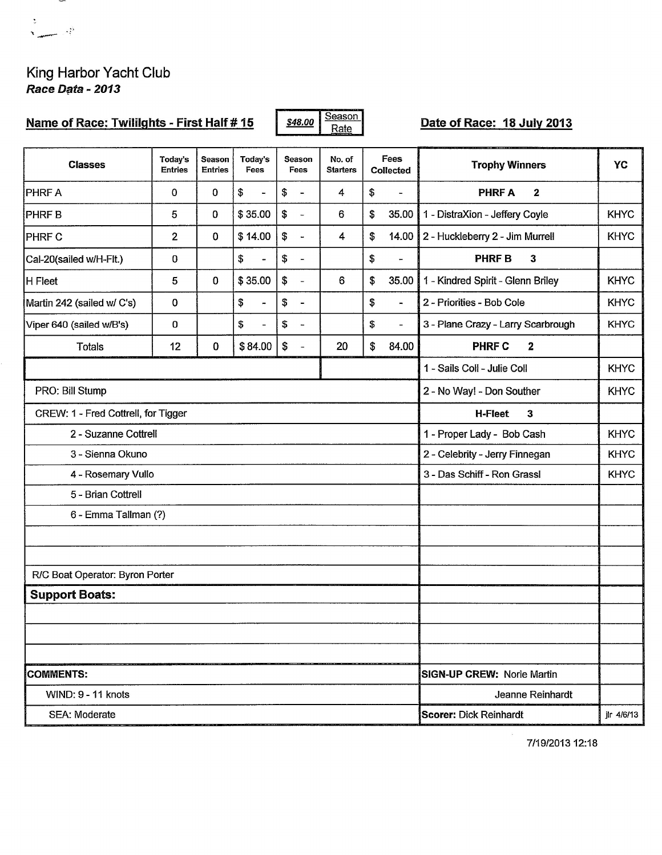

## King Harbor Yacht Club Race Data - 2013

| Name of Race: Twililghts - First Half # 15 |                           |                                           |                                |    |                              | Season<br>\$48.00<br>Rate |    |                              | Date of Race: 18 July 2013         |             |  |  |  |
|--------------------------------------------|---------------------------|-------------------------------------------|--------------------------------|----|------------------------------|---------------------------|----|------------------------------|------------------------------------|-------------|--|--|--|
| <b>Classes</b>                             | Today's<br><b>Entries</b> | Season<br><b>Entries</b>                  | Today's<br>Fees                |    | Season<br><b>Fees</b>        | No. of<br><b>Starters</b> |    | <b>Fees</b><br>Collected     | <b>Trophy Winners</b>              | YC          |  |  |  |
| <b>PHRFA</b>                               | 0                         | 0                                         | \$<br>$\blacksquare$           | \$ | $\blacksquare$               | 4                         | \$ | L.                           | <b>PHRFA</b><br>$\mathbf{2}$       |             |  |  |  |
| <b>PHRFB</b>                               | 5                         | 0                                         | \$35.00                        | \$ | $\overline{\phantom{a}}$     | 6                         | \$ | 35.00                        | 1 - DistraXion - Jeffery Coyle     | <b>KHYC</b> |  |  |  |
| PHRF C                                     | $\overline{2}$            | 0                                         | \$14.00                        | \$ | $\overline{\phantom{a}}$     | $\overline{\mathbf{4}}$   | \$ | 14.00                        | 2 - Huckleberry 2 - Jim Murrell    | <b>KHYC</b> |  |  |  |
| Cal-20(sailed w/H-Flt.)                    | 0                         |                                           | \$<br>$\overline{\phantom{a}}$ | \$ | $\overline{\phantom{a}}$     |                           | \$ | -                            | <b>PHRFB</b><br>3                  |             |  |  |  |
| H Fleet                                    | 5                         | $\bf{0}$                                  | \$35.00                        | \$ | ÷,                           | 6                         | \$ | 35.00                        | 1 - Kindred Spirit - Glenn Briley  | <b>KHYC</b> |  |  |  |
| Martin 242 (sailed w/ C's)                 | 0                         |                                           | \$<br>$\blacksquare$           | \$ | $\qquad \qquad \blacksquare$ |                           | \$ | $\blacksquare$               | 2 - Priorities - Bob Cole          | <b>KHYC</b> |  |  |  |
| Viper 640 (sailed w/B's)                   | 0                         |                                           | \$<br>$\equiv$                 | \$ | $\overline{\phantom{a}}$     |                           | \$ | $\qquad \qquad \blacksquare$ | 3 - Plane Crazy - Larry Scarbrough | <b>KHYC</b> |  |  |  |
| <b>Totals</b>                              | 12                        | 0                                         | \$84.00                        | \$ | $\overline{a}$               | 20                        | \$ | 84.00                        | <b>PHRF C</b><br>$\mathbf{2}$      |             |  |  |  |
|                                            |                           |                                           |                                |    |                              |                           |    |                              | 1 - Sails Coll - Julie Coll        | <b>KHYC</b> |  |  |  |
| PRO: Bill Stump                            |                           |                                           |                                |    |                              |                           |    |                              | 2 - No Way! - Don Souther          | <b>KHYC</b> |  |  |  |
| CREW: 1 - Fred Cottrell, for Tigger        |                           | <b>H-Fleet</b><br>3                       |                                |    |                              |                           |    |                              |                                    |             |  |  |  |
| 2 - Suzanne Cottrell                       |                           | 1 - Proper Lady - Bob Cash<br><b>KHYC</b> |                                |    |                              |                           |    |                              |                                    |             |  |  |  |
| 3 - Sienna Okuno                           |                           | 2 - Celebrity - Jerry Finnegan            | <b>KHYC</b>                    |    |                              |                           |    |                              |                                    |             |  |  |  |
| 4 - Rosemary Vullo                         |                           | 3 - Das Schiff - Ron Grassl               | <b>KHYC</b>                    |    |                              |                           |    |                              |                                    |             |  |  |  |
| 5 - Brian Cottrell                         |                           |                                           |                                |    |                              |                           |    |                              |                                    |             |  |  |  |
| 6 - Emma Tallman (?)                       |                           |                                           |                                |    |                              |                           |    |                              |                                    |             |  |  |  |
|                                            |                           |                                           |                                |    |                              |                           |    |                              |                                    |             |  |  |  |
|                                            |                           |                                           |                                |    |                              |                           |    |                              |                                    |             |  |  |  |
| R/C Boat Operator: Byron Porter            |                           |                                           |                                |    |                              |                           |    |                              |                                    |             |  |  |  |
| <b>Support Boats:</b>                      |                           |                                           |                                |    |                              |                           |    |                              |                                    |             |  |  |  |
|                                            |                           |                                           |                                |    |                              |                           |    |                              |                                    |             |  |  |  |
|                                            |                           |                                           |                                |    |                              |                           |    |                              |                                    |             |  |  |  |
| <b>COMMENTS:</b>                           |                           | <b>SIGN-UP CREW: Norie Martin</b>         |                                |    |                              |                           |    |                              |                                    |             |  |  |  |
| WIND: 9 - 11 knots                         |                           |                                           |                                |    |                              |                           |    |                              | Jeanne Reinhardt                   |             |  |  |  |
| <b>SEA: Moderate</b>                       |                           |                                           |                                |    |                              |                           |    |                              | <b>Scorer: Dick Reinhardt</b>      | jlr 4/6/13  |  |  |  |

7/19/2013 12:18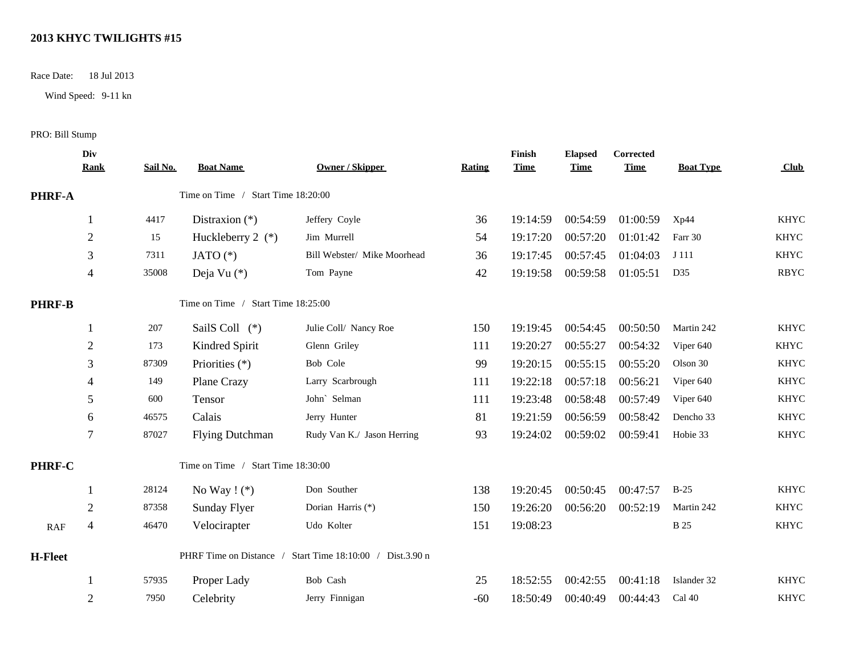## **2013 KHYC TWILIGHTS #15**

Race Date: 18 Jul 2013

Wind Speed: 9-11 kn

## PRO: Bill Stump

|                | Div<br><b>Rank</b> | Sail No. | <b>Boat Name</b>                   | Owner / Skipper                                           | <b>Rating</b> | Finish<br><b>Time</b> | <b>Elapsed</b><br><b>Time</b> | <b>Corrected</b><br><b>Time</b> | <b>Boat Type</b> | Club        |
|----------------|--------------------|----------|------------------------------------|-----------------------------------------------------------|---------------|-----------------------|-------------------------------|---------------------------------|------------------|-------------|
| PHRF-A         |                    |          | Time on Time / Start Time 18:20:00 |                                                           |               |                       |                               |                                 |                  |             |
|                |                    | 4417     | Distraxion $(*)$                   | Jeffery Coyle                                             | 36            | 19:14:59              | 00:54:59                      | 01:00:59                        | Xp44             | <b>KHYC</b> |
|                | $\overline{2}$     | 15       | Huckleberry 2 $(*)$                | Jim Murrell                                               | 54            | 19:17:20              | 00:57:20                      | 01:01:42                        | Farr 30          | <b>KHYC</b> |
|                | 3                  | 7311     | JATO $(*)$                         | Bill Webster/ Mike Moorhead                               | 36            | 19:17:45              | 00:57:45                      | 01:04:03                        | J 111            | <b>KHYC</b> |
|                | $\overline{4}$     | 35008    | Deja Vu $(*)$                      | Tom Payne                                                 | 42            | 19:19:58              | 00:59:58                      | 01:05:51                        | D35              | <b>RBYC</b> |
| <b>PHRF-B</b>  |                    |          | Time on Time / Start Time 18:25:00 |                                                           |               |                       |                               |                                 |                  |             |
|                |                    | 207      | SailS Coll (*)                     | Julie Coll/ Nancy Roe                                     | 150           | 19:19:45              | 00:54:45                      | 00:50:50                        | Martin 242       | <b>KHYC</b> |
|                | $\overline{2}$     | 173      | Kindred Spirit                     | Glenn Griley                                              | 111           | 19:20:27              | 00:55:27                      | 00:54:32                        | Viper 640        | <b>KHYC</b> |
|                | 3                  | 87309    | Priorities (*)                     | Bob Cole                                                  | 99            | 19:20:15              | 00:55:15                      | 00:55:20                        | Olson 30         | <b>KHYC</b> |
|                | $\overline{4}$     | 149      | Plane Crazy                        | Larry Scarbrough                                          | 111           | 19:22:18              | 00:57:18                      | 00:56:21                        | Viper 640        | <b>KHYC</b> |
|                | 5                  | 600      | Tensor                             | John' Selman                                              | 111           | 19:23:48              | 00:58:48                      | 00:57:49                        | Viper 640        | <b>KHYC</b> |
|                | 6                  | 46575    | Calais                             | Jerry Hunter                                              | 81            | 19:21:59              | 00:56:59                      | 00:58:42                        | Dencho 33        | <b>KHYC</b> |
|                | 7                  | 87027    | <b>Flying Dutchman</b>             | Rudy Van K./ Jason Herring                                | 93            | 19:24:02              | 00:59:02                      | 00:59:41                        | Hobie 33         | <b>KHYC</b> |
| PHRF-C         |                    |          | Time on Time / Start Time 18:30:00 |                                                           |               |                       |                               |                                 |                  |             |
|                |                    | 28124    | No Way $!$ (*)                     | Don Souther                                               | 138           | 19:20:45              | 00:50:45                      | 00:47:57                        | $B-25$           | <b>KHYC</b> |
|                | 2                  | 87358    | <b>Sunday Flyer</b>                | Dorian Harris (*)                                         | 150           | 19:26:20              | 00:56:20                      | 00:52:19                        | Martin 242       | <b>KHYC</b> |
| RAF            | $\overline{4}$     | 46470    | Velocirapter                       | Udo Kolter                                                | 151           | 19:08:23              |                               |                                 | <b>B</b> 25      | <b>KHYC</b> |
| <b>H-Fleet</b> |                    |          |                                    | PHRF Time on Distance / Start Time 18:10:00 / Dist.3.90 n |               |                       |                               |                                 |                  |             |
|                | -1                 | 57935    | Proper Lady                        | Bob Cash                                                  | 25            | 18:52:55              | 00:42:55                      | 00:41:18                        | Islander 32      | <b>KHYC</b> |
|                | $\overline{2}$     | 7950     | Celebrity                          | Jerry Finnigan                                            | $-60$         | 18:50:49              | 00:40:49                      | 00:44:43                        | Cal 40           | <b>KHYC</b> |